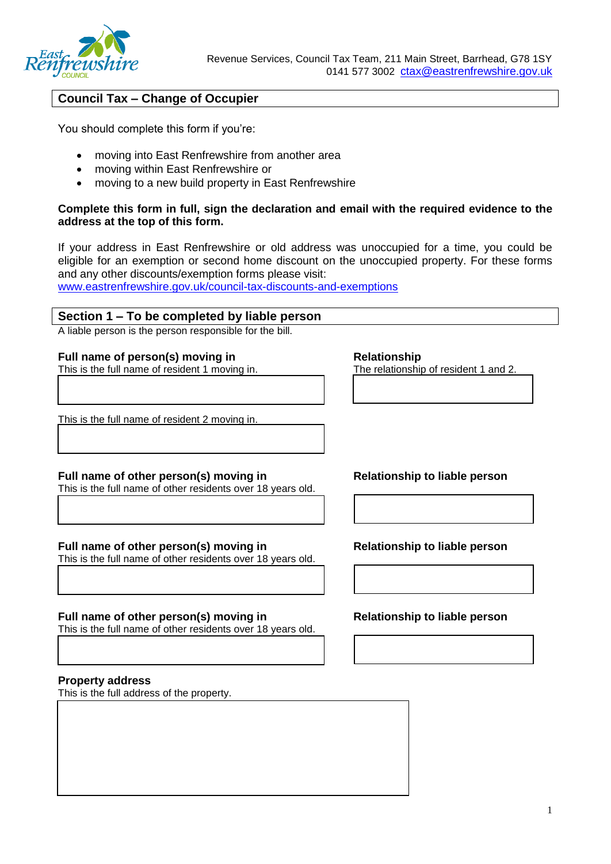

# **Council Tax – Change of Occupier**

You should complete this form if you're:

- moving into East Renfrewshire from another area
- moving within East Renfrewshire or
- moving to a new build property in East Renfrewshire

#### **Complete this form in full, sign the declaration and email with the required evidence to the address at the top of this form.**

If your address in East Renfrewshire or old address was unoccupied for a time, you could be eligible for an exemption or second home discount on the unoccupied property. For these forms and any other discounts/exemption forms please visit:

[www.eastrenfrewshire.gov.uk/council-tax-discounts-and-exemptions](http://www.eastrenfrewshire.gov.uk/council-tax-discounts-and-exemptions)

#### **Section 1 – To be completed by liable person**

A liable person is the person responsible for the bill.

# **Full name of person(s) moving in**<br>
This is the full name of resident 1 moving in.<br>
The relationship of resident 1 and 2.

This is the full name of resident 1 moving in.

This is the full name of resident 2 moving in.

### Full name of other person(s) moving in Relationship to liable person

This is the full name of other residents over 18 years old.

#### **Full name of other person(s) moving in Relationship to liable person**

This is the full name of other residents over 18 years old.

#### Full name of other person(s) moving in Relationship to liable person

This is the full name of other residents over 18 years old.

#### **Property address**

This is the full address of the property.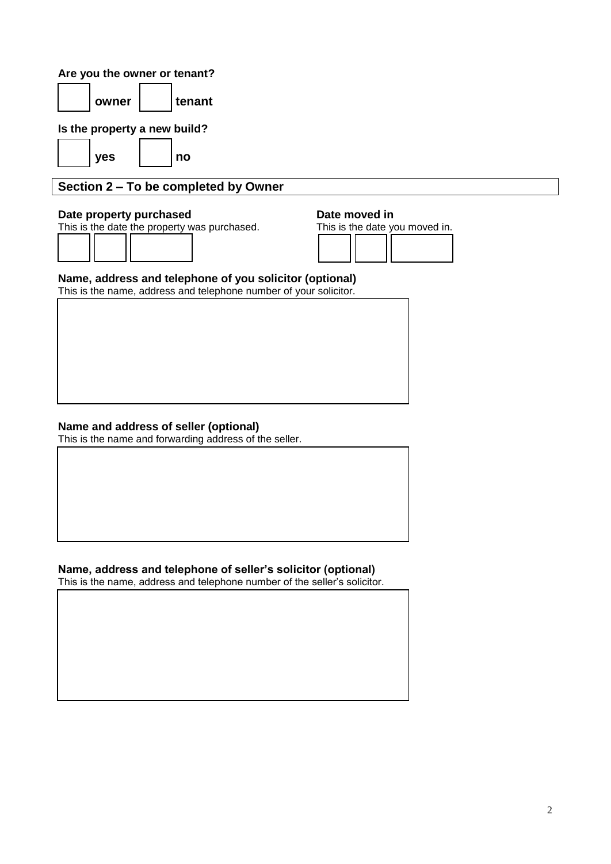### **Are you the owner or tenant?**

| owner |  | l tenant |
|-------|--|----------|
|-------|--|----------|

**Is the property a new build?**

yes | | no

# **Section 2 – To be completed by Owner**

### **Date property purchased by Date moved in**

This is the date the property was purchased. This is the date you moved in.



#### **Name, address and telephone of you solicitor (optional)**

This is the name, address and telephone number of your solicitor.

### **Name and address of seller (optional)**

This is the name and forwarding address of the seller.

# **Name, address and telephone of seller's solicitor (optional)**

This is the name, address and telephone number of the seller's solicitor.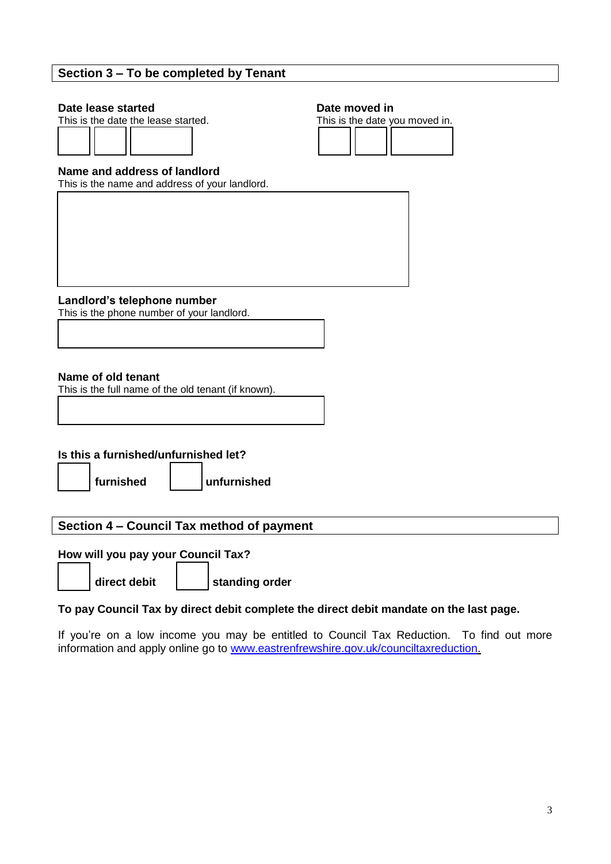## **Section 3 – To be completed by Tenant**

**Date lease started**<br> **Date moved in**<br> **Date moved in**<br> **Date moved in**<br> **Date moved in**<br> **Date moved in** This is the date the lease started.



#### **Name and address of landlord**

This is the name and address of your landlord.

**Landlord's telephone number**

This is the phone number of your landlord.

#### **Name of old tenant**

This is the full name of the old tenant (if known).

### **Is this a furnished/unfurnished let?**

**furnished unfurnished** 

### **Section 4 – Council Tax method of payment**

### **How will you pay your Council Tax?**

**direct debit standing order**

### **To pay Council Tax by direct debit complete the direct debit mandate on the last page.**

If you're on a low income you may be entitled to Council Tax Reduction. To find out more information and apply online go to [www.eastrenfrewshire.gov.uk/counciltaxreduction.](http://www.eastrenfrewshire.gov.uk/counciltaxreduction)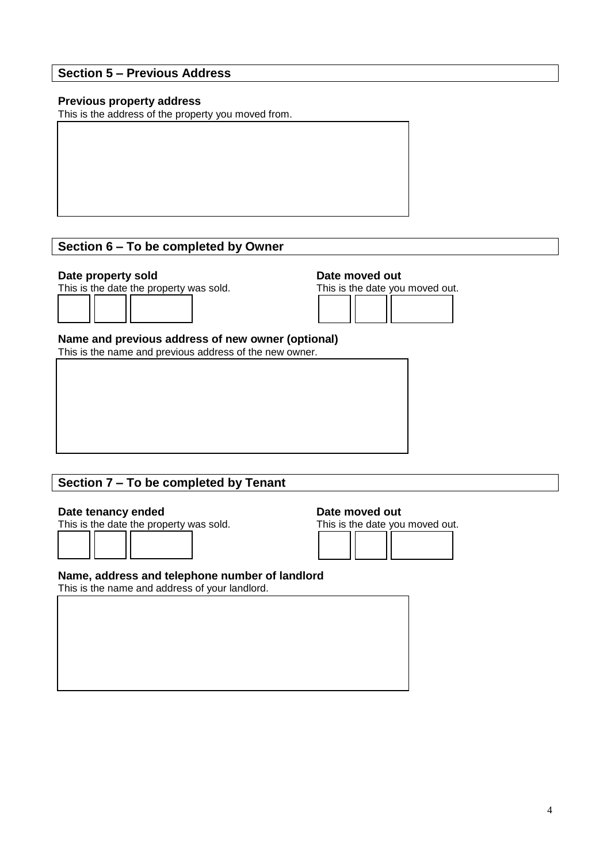### **Section 5 – Previous Address**

#### **Previous property address**

This is the address of the property you moved from.

# **Section 6 – To be completed by Owner**





#### **Name and previous address of new owner (optional)**

This is the name and previous address of the new owner.

# **Section 7 – To be completed by Tenant**

**Date tenancy ended**<br> **Date moved out**<br> **Date moved out**<br> **Date moved outries**<br> **Date moved outries** This is the date the property was sold.



#### **Name, address and telephone number of landlord**

This is the name and address of your landlord.